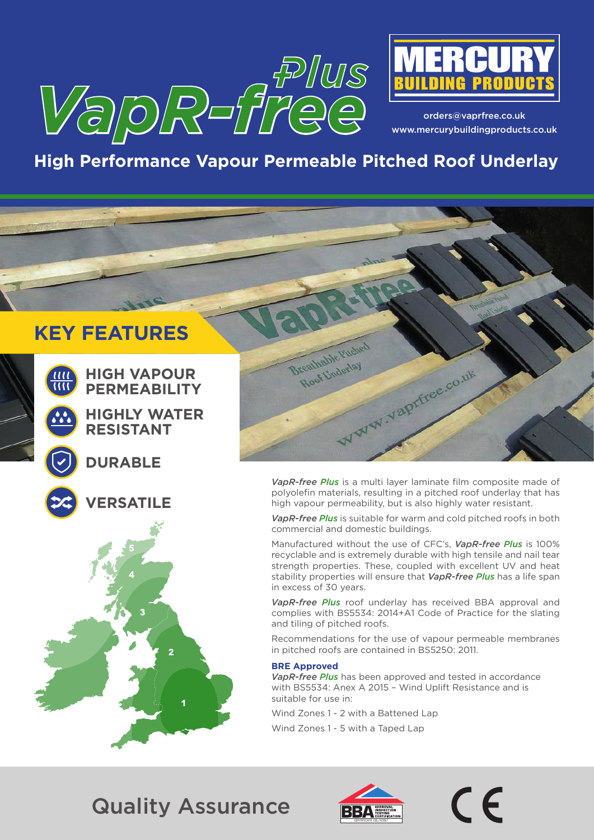



orders@vaprfree.co.uk www.mercurybuildingproducts.co.uk

# **High Performance Vapour Permeable Pitched Roof Underlay**

# **KEY FEATURES**



**HIGH VAPOUR PERMEABILITY**

**HIGHLY WATER RESISTANT**

### **DURABLE**



**VERSATILE**



*VapR-free Plus* is a multi layer laminate film composite made of polyolefin materials, resulting in a pitched roof underlay that has high vapour permeability, but is also highly water resistant.

*VapR-free Plus* is suitable for warm and cold pitched roofs in both commercial and domestic buildings.

Manufactured without the use of CFC's, *VapR-free Plus* is 100% recyclable and is extremely durable with high tensile and nail tear strength properties. These, coupled with excellent UV and heat stability properties will ensure that *VapR-free Plus* has a life span in excess of 30 years.

*VapR-free Plus* roof underlay has received BBA approval and complies with BS5534: 2014+A1 Code of Practice for the slating and tiling of pitched roofs.

Recommendations for the use of vapour permeable membranes in pitched roofs are contained in BS5250: 2011.

#### **BRE Approved**

*VapR-free Plus* has been approved and tested in accordance with BS5534: Anex A 2015 – Wind Uplift Resistance and is suitable for use in:

Wind Zones 1 - 2 with a Battened Lap

Wind Zones 1 - 5 with a Taped Lap

# Quality Assurance